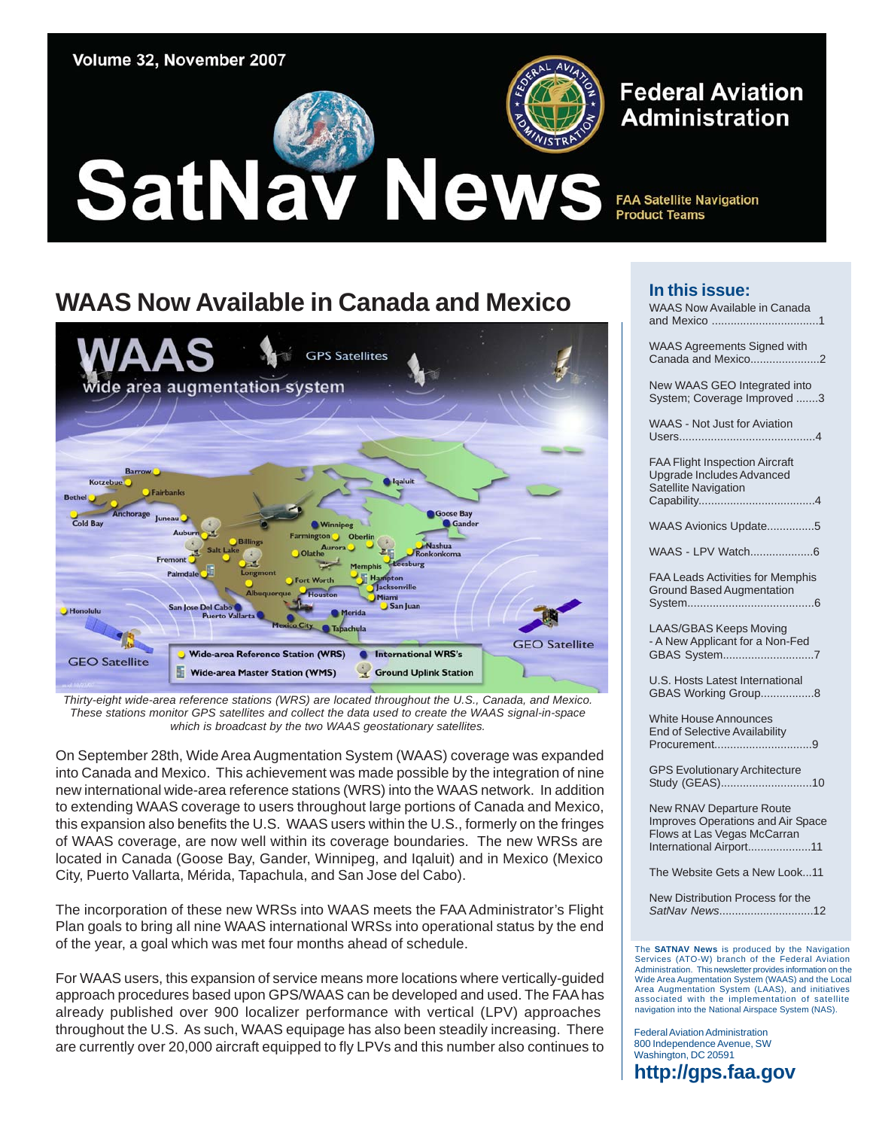

#### **Federal Aviation Administration**

**FAA Satellite Navigation Product Teams** 

### **WAAS Now Available in Canada and Mexico**



*Thirty-eight wide-area reference stations (WRS) are located throughout the U.S., Canada, and Mexico. These stations monitor GPS satellites and collect the data used to create the WAAS signal-in-space which is broadcast by the two WAAS geostationary satellites.*

On September 28th, Wide Area Augmentation System (WAAS) coverage was expanded into Canada and Mexico. This achievement was made possible by the integration of nine new international wide-area reference stations (WRS) into the WAAS network. In addition to extending WAAS coverage to users throughout large portions of Canada and Mexico, this expansion also benefits the U.S. WAAS users within the U.S., formerly on the fringes of WAAS coverage, are now well within its coverage boundaries. The new WRSs are located in Canada (Goose Bay, Gander, Winnipeg, and Iqaluit) and in Mexico (Mexico City, Puerto Vallarta, Mérida, Tapachula, and San Jose del Cabo).

The incorporation of these new WRSs into WAAS meets the FAA Administrator's Flight Plan goals to bring all nine WAAS international WRSs into operational status by the end of the year, a goal which was met four months ahead of schedule.

For WAAS users, this expansion of service means more locations where vertically-guided approach procedures based upon GPS/WAAS can be developed and used. The FAA has already published over 900 localizer performance with vertical (LPV) approaches throughout the U.S. As such, WAAS equipage has also been steadily increasing. There are currently over 20,000 aircraft equipped to fly LPVs and this number also continues to

#### **In this issue:**

| WAAS Now Available in Canada                                                                      |
|---------------------------------------------------------------------------------------------------|
| WAAS Agreements Signed with<br>Canada and Mexico2                                                 |
| New WAAS GEO Integrated into<br>System; Coverage Improved 3                                       |
| <b>WAAS - Not Just for Aviation</b>                                                               |
| <b>FAA Flight Inspection Aircraft</b><br><b>Upgrade Includes Advanced</b><br>Satellite Navigation |
| WAAS Avionics Update5                                                                             |
|                                                                                                   |
| <b>FAA Leads Activities for Memphis</b><br><b>Ground Based Augmentation</b>                       |
| <b>LAAS/GBAS Keeps Moving</b><br>- A New Applicant for a Non-Fed<br>GBAS System7                  |
| U.S. Hosts Latest International<br>GBAS Working Group8                                            |
| <b>White House Announces</b><br><b>End of Selective Availability</b>                              |
| <b>GPS Evolutionary Architecture</b><br>Study (GEAS)10                                            |

New RNAV Departure Route [Improves Operations and Air Space](#page-10-0)  Flows at Las Vegas McCarran

International Airport....................11

[The Website Gets a New Look...11](#page-10-0) 

[New Distribution Process for the](#page-11-0)  *SatNav News*..............................12

The **SATNAV News** is produced by the Navigation Services (ATO-W) branch of the Federal Aviation Administration. This newsletter provides information on the Wide Area Augmentation System (WAAS) and the Local Area Augmentation System (LAAS), and initiatives associated with the implementation of satellite navigation into the National Airspace System (NAS).

Federal Aviation Administration 800 Independence Avenue, SW Washington, DC 20591 **[http://gps.faa.gov](gps.faa.gov)**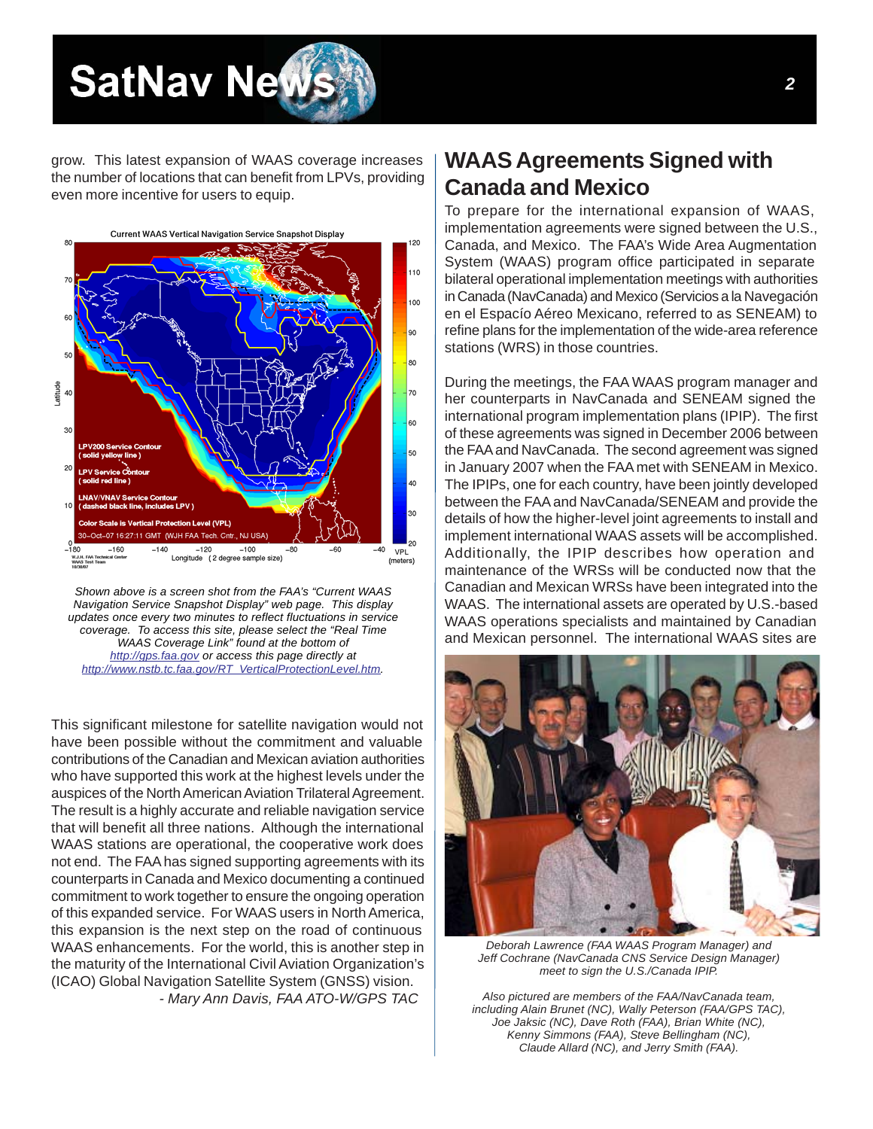## <span id="page-1-0"></span>**SatNav New**

grow. This latest expansion of WAAS coverage increases the number of locations that can benefit from LPVs, providing even more incentive for users to equip.





*Shown above is a screen shot from the FAA's "Current WAAS Navigation Service Snapshot Display" web page. This display updates once every two minutes to reflect fluctuations in service coverage. To access this site, please select the "Real Time WAAS Coverage Link" found at the bottom of [http://gps.faa.gov o](gps.faa.gov)r access this page directly at [http://www.nstb.tc.faa.gov/RT\\_VerticalProtectionLevel.htm.](http://www.nstb.tc.faa.gov/RT_VerticalProtectionLevel.htm)*

This significant milestone for satellite navigation would not have been possible without the commitment and valuable contributions of the Canadian and Mexican aviation authorities who have supported this work at the highest levels under the auspices of the North American Aviation Trilateral Agreement. The result is a highly accurate and reliable navigation service that will benefit all three nations. Although the international WAAS stations are operational, the cooperative work does not end. The FAA has signed supporting agreements with its counterparts in Canada and Mexico documenting a continued commitment to work together to ensure the ongoing operation of this expanded service. For WAAS users in North America, this expansion is the next step on the road of continuous WAAS enhancements. For the world, this is another step in the maturity of the International Civil Aviation Organization's (ICAO) Global Navigation Satellite System (GNSS) vision. *- Mary Ann Davis, FAA ATO-W/GPS TAC*

#### **WAAS Agreements Signed with Canada and Mexico**

To prepare for the international expansion of WAAS, implementation agreements were signed between the U.S., Canada, and Mexico. The FAA's Wide Area Augmentation System (WAAS) program office participated in separate bilateral operational implementation meetings with authorities in Canada (NavCanada) and Mexico (Servicios a la Navegación en el Espacío Aéreo Mexicano, referred to as SENEAM) to refine plans for the implementation of the wide-area reference stations (WRS) in those countries.

During the meetings, the FAA WAAS program manager and her counterparts in NavCanada and SENEAM signed the international program implementation plans (IPIP). The first of these agreements was signed in December 2006 between the FAA and NavCanada. The second agreement was signed in January 2007 when the FAA met with SENEAM in Mexico. The IPIPs, one for each country, have been jointly developed between the FAA and NavCanada/SENEAM and provide the details of how the higher-level joint agreements to install and implement international WAAS assets will be accomplished. Additionally, the IPIP describes how operation and maintenance of the WRSs will be conducted now that the Canadian and Mexican WRSs have been integrated into the WAAS. The international assets are operated by U.S.-based WAAS operations specialists and maintained by Canadian and Mexican personnel. The international WAAS sites are



*Deborah Lawrence (FAA WAAS Program Manager) and Jeff Cochrane (NavCanada CNS Service Design Manager) meet to sign the U.S./Canada IPIP.*

*Also pictured are members of the FAA/NavCanada team, including Alain Brunet (NC), Wally Peterson (FAA/GPS TAC), Joe Jaksic (NC), Dave Roth (FAA), Brian White (NC), Kenny Simmons (FAA), Steve Bellingham (NC), Claude Allard (NC), and Jerry Smith (FAA).*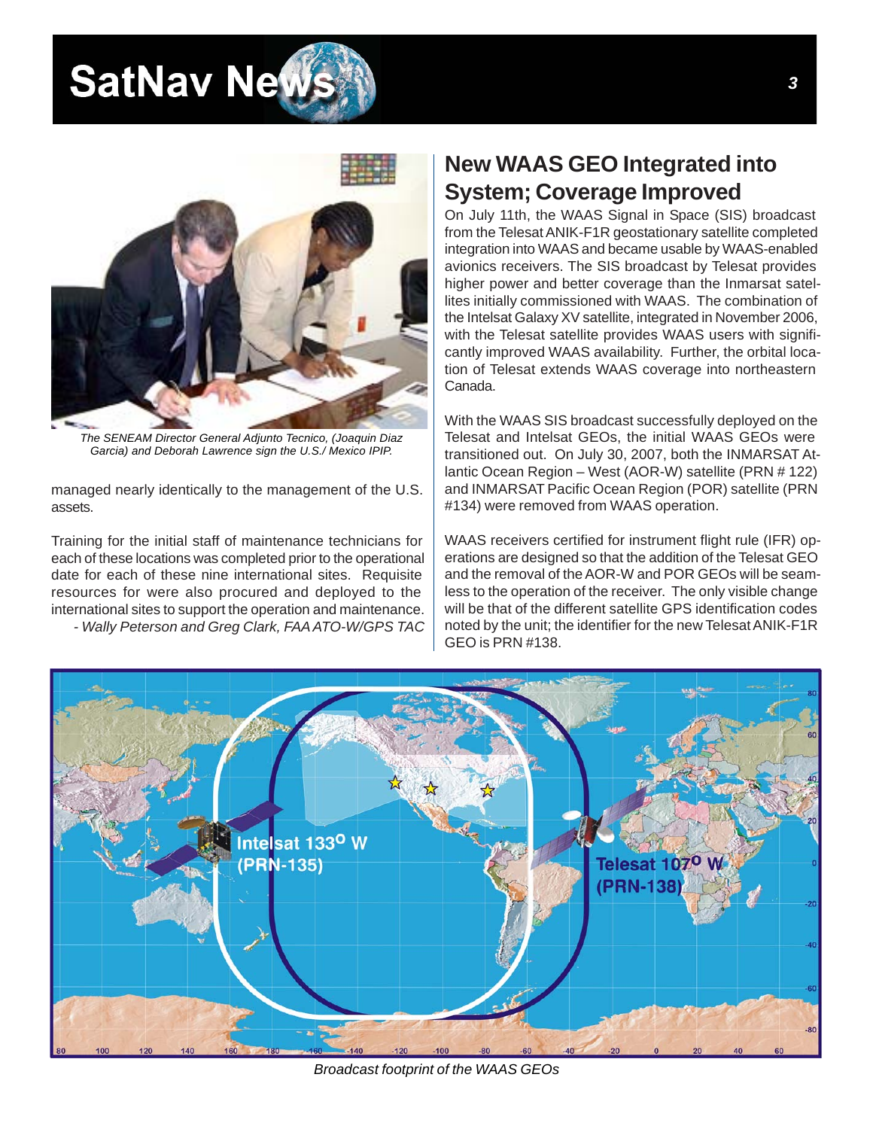### <span id="page-2-0"></span>**SatNav Net**



*The SENEAM Director General Adjunto Tecnico, (Joaquin Diaz Garcia) and Deborah Lawrence sign the U.S./ Mexico IPIP.*

managed nearly identically to the management of the U.S. assets.

Training for the initial staff of maintenance technicians for each of these locations was completed prior to the operational date for each of these nine international sites. Requisite resources for were also procured and deployed to the international sites to support the operation and maintenance.

 *- Wally Peterson and Greg Clark, FAA ATO-W/GPS TAC*

#### **New WAAS GEO Integrated into System; Coverage Improved**

On July 11th, the WAAS Signal in Space (SIS) broadcast from the Telesat ANIK-F1R geostationary satellite completed integration into WAAS and became usable by WAAS-enabled avionics receivers. The SIS broadcast by Telesat provides higher power and better coverage than the Inmarsat satellites initially commissioned with WAAS. The combination of the Intelsat Galaxy XV satellite, integrated in November 2006, with the Telesat satellite provides WAAS users with significantly improved WAAS availability. Further, the orbital location of Telesat extends WAAS coverage into northeastern Canada.

With the WAAS SIS broadcast successfully deployed on the Telesat and Intelsat GEOs, the initial WAAS GEOs were transitioned out. On July 30, 2007, both the INMARSAT Atlantic Ocean Region – West (AOR-W) satellite (PRN # 122) and INMARSAT Pacific Ocean Region (POR) satellite (PRN #134) were removed from WAAS operation.

WAAS receivers certified for instrument flight rule (IFR) operations are designed so that the addition of the Telesat GEO and the removal of the AOR-W and POR GEOs will be seamless to the operation of the receiver. The only visible change will be that of the different satellite GPS identification codes noted by the unit; the identifier for the new Telesat ANIK-F1R GEO is PRN #138.



*Broadcast footprint of the WAAS GEOs*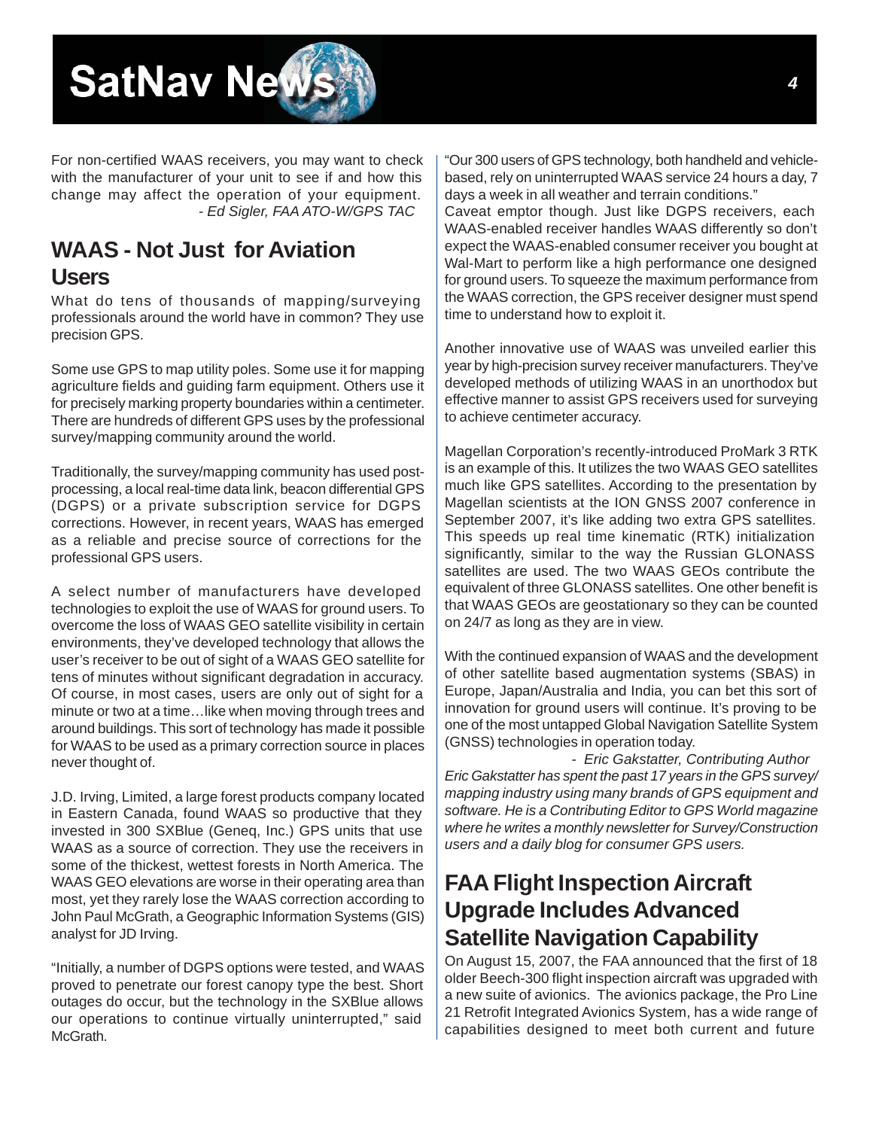# <span id="page-3-0"></span>**SatNav News**

For non-certified WAAS receivers, you may want to check with the manufacturer of your unit to see if and how this change may affect the operation of your equipment.  *- Ed Sigler, FAA ATO-W/GPS TAC*

### **WAAS - Not Just for Aviation**

#### **Users**

What do tens of thousands of mapping/surveying professionals around the world have in common? They use precision GPS.

Some use GPS to map utility poles. Some use it for mapping agriculture fields and guiding farm equipment. Others use it for precisely marking property boundaries within a centimeter. There are hundreds of different GPS uses by the professional survey/mapping community around the world.

Traditionally, the survey/mapping community has used postprocessing, a local real-time data link, beacon differential GPS (DGPS) or a private subscription service for DGPS corrections. However, in recent years, WAAS has emerged as a reliable and precise source of corrections for the professional GPS users.

A select number of manufacturers have developed technologies to exploit the use of WAAS for ground users. To overcome the loss of WAAS GEO satellite visibility in certain environments, they've developed technology that allows the user's receiver to be out of sight of a WAAS GEO satellite for tens of minutes without significant degradation in accuracy. Of course, in most cases, users are only out of sight for a minute or two at a time…like when moving through trees and around buildings. This sort of technology has made it possible for WAAS to be used as a primary correction source in places never thought of.

J.D. Irving, Limited, a large forest products company located in Eastern Canada, found WAAS so productive that they invested in 300 SXBlue (Geneq, Inc.) GPS units that use WAAS as a source of correction. They use the receivers in some of the thickest, wettest forests in North America. The WAAS GEO elevations are worse in their operating area than most, yet they rarely lose the WAAS correction according to John Paul McGrath, a Geographic Information Systems (GIS) analyst for JD Irving.

"Initially, a number of DGPS options were tested, and WAAS proved to penetrate our forest canopy type the best. Short outages do occur, but the technology in the SXBlue allows our operations to continue virtually uninterrupted," said McGrath.

"Our 300 users of GPS technology, both handheld and vehiclebased, rely on uninterrupted WAAS service 24 hours a day, 7 days a week in all weather and terrain conditions."

Caveat emptor though. Just like DGPS receivers, each WAAS-enabled receiver handles WAAS differently so don't expect the WAAS-enabled consumer receiver you bought at Wal-Mart to perform like a high performance one designed for ground users. To squeeze the maximum performance from the WAAS correction, the GPS receiver designer must spend time to understand how to exploit it.

Another innovative use of WAAS was unveiled earlier this year by high-precision survey receiver manufacturers. They've developed methods of utilizing WAAS in an unorthodox but effective manner to assist GPS receivers used for surveying to achieve centimeter accuracy.

Magellan Corporation's recently-introduced ProMark 3 RTK is an example of this. It utilizes the two WAAS GEO satellites much like GPS satellites. According to the presentation by Magellan scientists at the ION GNSS 2007 conference in September 2007, it's like adding two extra GPS satellites. This speeds up real time kinematic (RTK) initialization significantly, similar to the way the Russian GLONASS satellites are used. The two WAAS GEOs contribute the equivalent of three GLONASS satellites. One other benefit is that WAAS GEOs are geostationary so they can be counted on 24/7 as long as they are in view.

With the continued expansion of WAAS and the development of other satellite based augmentation systems (SBAS) in Europe, Japan/Australia and India, you can bet this sort of innovation for ground users will continue. It's proving to be one of the most untapped Global Navigation Satellite System (GNSS) technologies in operation today.

 *- Eric Gakstatter, Contributing Author Eric Gakstatter has spent the past 17 years in the GPS survey/ mapping industry using many brands of GPS equipment and software. He is a Contributing Editor to GPS World magazine where he writes a monthly newsletter for Survey/Construction users and a daily blog for consumer GPS users.*

#### **FAA Flight Inspection Aircraft Upgrade Includes Advanced Satellite Navigation Capability**

On August 15, 2007, the FAA announced that the first of 18 older Beech-300 flight inspection aircraft was upgraded with a new suite of avionics. The avionics package, the Pro Line 21 Retrofit Integrated Avionics System, has a wide range of capabilities designed to meet both current and future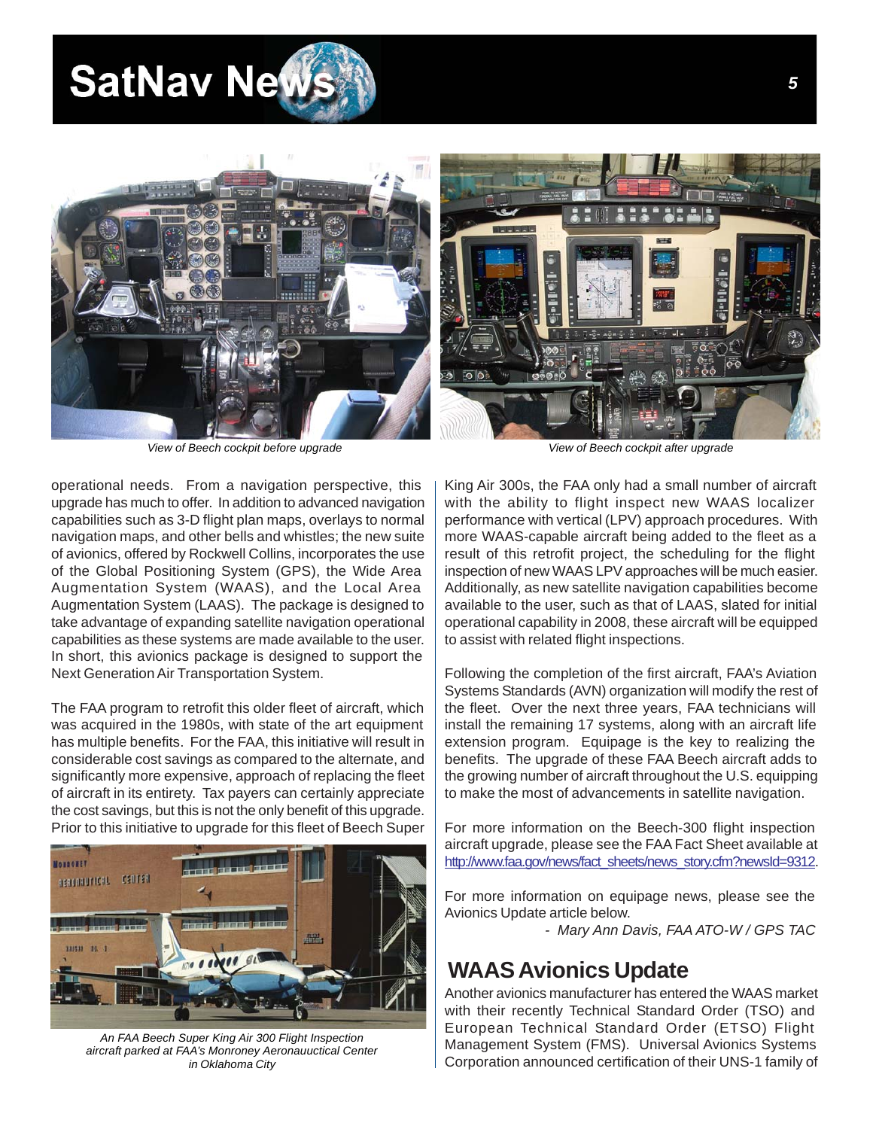## <span id="page-4-0"></span>**SatNav Net**



*View of Beech cockpit before upgrade View of Beech cockpit after upgrade*

operational needs. From a navigation perspective, this upgrade has much to offer. In addition to advanced navigation capabilities such as 3-D flight plan maps, overlays to normal navigation maps, and other bells and whistles; the new suite of avionics, offered by Rockwell Collins, incorporates the use of the Global Positioning System (GPS), the Wide Area Augmentation System (WAAS), and the Local Area Augmentation System (LAAS). The package is designed to take advantage of expanding satellite navigation operational capabilities as these systems are made available to the user. In short, this avionics package is designed to support the Next Generation Air Transportation System.

The FAA program to retrofit this older fleet of aircraft, which was acquired in the 1980s, with state of the art equipment has multiple benefits. For the FAA, this initiative will result in considerable cost savings as compared to the alternate, and significantly more expensive, approach of replacing the fleet of aircraft in its entirety. Tax payers can certainly appreciate the cost savings, but this is not the only benefit of this upgrade. Prior to this initiative to upgrade for this fleet of Beech Super



*An FAA Beech Super King Air 300 Flight Inspection aircraft parked at FAA's Monroney Aeronauuctical Center in Oklahoma City*

King Air 300s, the FAA only had a small number of aircraft with the ability to flight inspect new WAAS localizer performance with vertical (LPV) approach procedures. With more WAAS-capable aircraft being added to the fleet as a result of this retrofit project, the scheduling for the flight inspection of new WAAS LPV approaches will be much easier. Additionally, as new satellite navigation capabilities become available to the user, such as that of LAAS, slated for initial operational capability in 2008, these aircraft will be equipped to assist with related flight inspections.

Following the completion of the first aircraft, FAA's Aviation Systems Standards (AVN) organization will modify the rest of the fleet. Over the next three years, FAA technicians will install the remaining 17 systems, along with an aircraft life extension program. Equipage is the key to realizing the benefits. The upgrade of these FAA Beech aircraft adds to the growing number of aircraft throughout the U.S. equipping to make the most of advancements in satellite navigation.

For more information on the Beech-300 flight inspection aircraft upgrade, please see the FAA Fact Sheet available at http://www.faa.gov/news/fact\_sheets/news\_story.cfm?newsId=9312.

For more information on equipage news, please see the Avionics Update article below.

*- Mary Ann Davis, FAA ATO-W / GPS TAC*

#### **WAAS Avionics Update**

Another avionics manufacturer has entered the WAAS market with their recently Technical Standard Order (TSO) and European Technical Standard Order (ETSO) Flight Management System (FMS). Universal Avionics Systems Corporation announced certification of their UNS-1 family of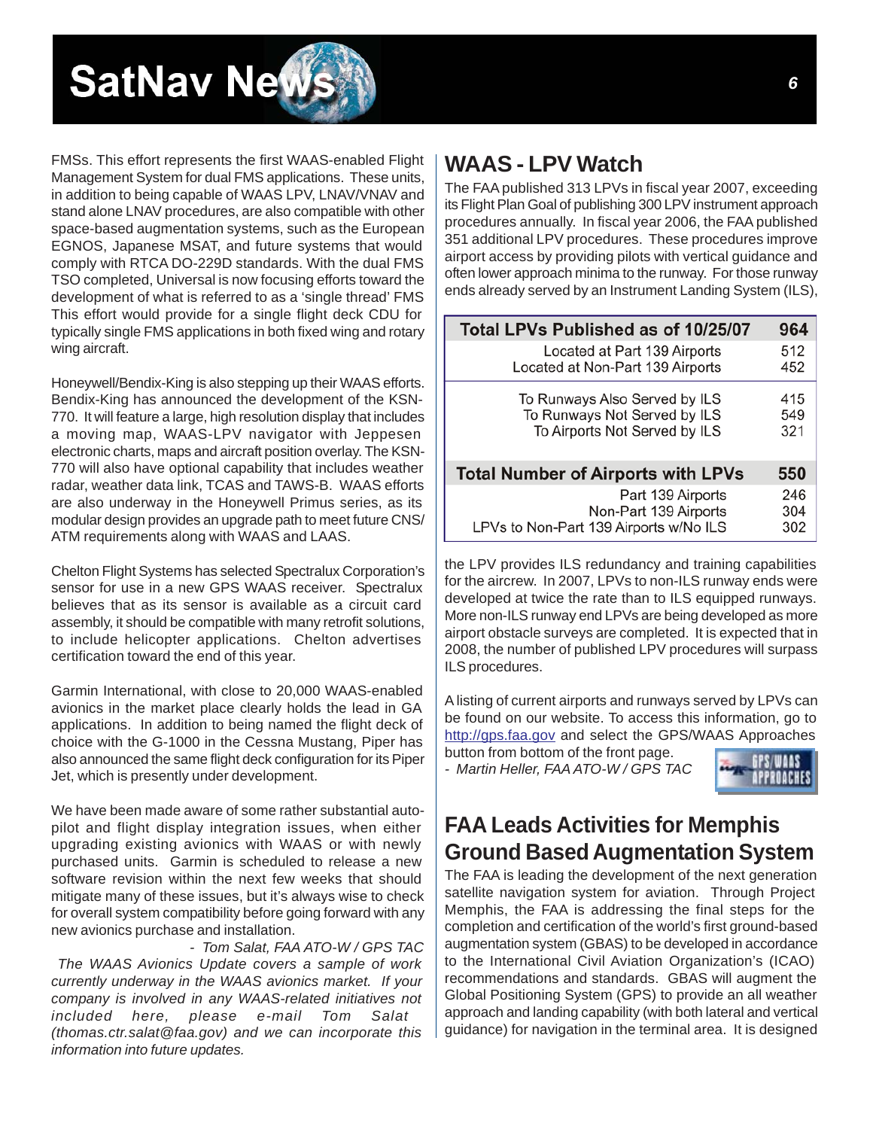<span id="page-5-0"></span>

FMSs. This effort represents the first WAAS-enabled Flight Management System for dual FMS applications. These units, in addition to being capable of WAAS LPV, LNAV/VNAV and stand alone LNAV procedures, are also compatible with other space-based augmentation systems, such as the European EGNOS, Japanese MSAT, and future systems that would comply with RTCA DO-229D standards. With the dual FMS TSO completed, Universal is now focusing efforts toward the development of what is referred to as a 'single thread' FMS This effort would provide for a single flight deck CDU for typically single FMS applications in both fixed wing and rotary wing aircraft.

Honeywell/Bendix-King is also stepping up their WAAS efforts. Bendix-King has announced the development of the KSN-770. It will feature a large, high resolution display that includes a moving map, WAAS-LPV navigator with Jeppesen electronic charts, maps and aircraft position overlay. The KSN-770 will also have optional capability that includes weather radar, weather data link, TCAS and TAWS-B. WAAS efforts are also underway in the Honeywell Primus series, as its modular design provides an upgrade path to meet future CNS/ ATM requirements along with WAAS and LAAS.

Chelton Flight Systems has selected Spectralux Corporation's sensor for use in a new GPS WAAS receiver. Spectralux believes that as its sensor is available as a circuit card assembly, it should be compatible with many retrofit solutions, to include helicopter applications. Chelton advertises certification toward the end of this year.

Garmin International, with close to 20,000 WAAS-enabled avionics in the market place clearly holds the lead in GA applications. In addition to being named the flight deck of choice with the G-1000 in the Cessna Mustang, Piper has also announced the same flight deck configuration for its Piper Jet, which is presently under development.

We have been made aware of some rather substantial autopilot and flight display integration issues, when either upgrading existing avionics with WAAS or with newly purchased units. Garmin is scheduled to release a new software revision within the next few weeks that should mitigate many of these issues, but it's always wise to check for overall system compatibility before going forward with any new avionics purchase and installation.

 *- Tom Salat, FAA ATO-W / GPS TAC The WAAS Avionics Update covers a sample of work currently underway in the WAAS avionics market. If your company is involved in any WAAS-related initiatives not included here, please e-mail Tom Salat (thomas.ctr.salat@faa.gov) and we can incorporate this information into future updates.*

#### **WAAS - LPV Watch**

The FAA published 313 LPVs in fiscal year 2007, exceeding its Flight Plan Goal of publishing 300 LPV instrument approach procedures annually. In fiscal year 2006, the FAA published 351 additional LPV procedures. These procedures improve airport access by providing pilots with vertical guidance and often lower approach minima to the runway. For those runway ends already served by an Instrument Landing System (ILS),

| Total LPVs Published as of 10/25/07       | 964 |
|-------------------------------------------|-----|
| Located at Part 139 Airports              | 512 |
| Located at Non-Part 139 Airports          | 452 |
| To Runways Also Served by ILS             | 415 |
| To Runways Not Served by ILS              | 549 |
| To Airports Not Served by ILS             | 321 |
| <b>Total Number of Airports with LPVs</b> | 550 |
| Part 139 Airports                         | 246 |
| Non-Part 139 Airports                     | 304 |
| LPVs to Non-Part 139 Airports w/No ILS    | 302 |

the LPV provides ILS redundancy and training capabilities for the aircrew. In 2007, LPVs to non-ILS runway ends were developed at twice the rate than to ILS equipped runways. More non-ILS runway end LPVs are being developed as more airport obstacle surveys are completed. It is expected that in 2008, the number of published LPV procedures will surpass ILS procedures.

A listing of current airports and runways served by LPVs can be found on our website. To access this information, go to [http://gps.faa.gov a](gps.faa.gov)nd select the GPS/[WAAS Approaches](gps.faa.gov) 

button from bottom of the front page. *- Martin Heller, FAA ATO-W / GPS TAC*



#### **FAA Leads Activities for Memphis Ground Based Augmentation System**

The FAA is leading the development of the next generation satellite navigation system for aviation. Through Project Memphis, the FAA is addressing the final steps for the completion and certification of the world's first ground-based augmentation system (GBAS) to be developed in accordance to the International Civil Aviation Organization's (ICAO) recommendations and standards. GBAS will augment the Global Positioning System (GPS) to provide an all weather approach and landing capability (with both lateral and vertical guidance) for navigation in the terminal area. It is designed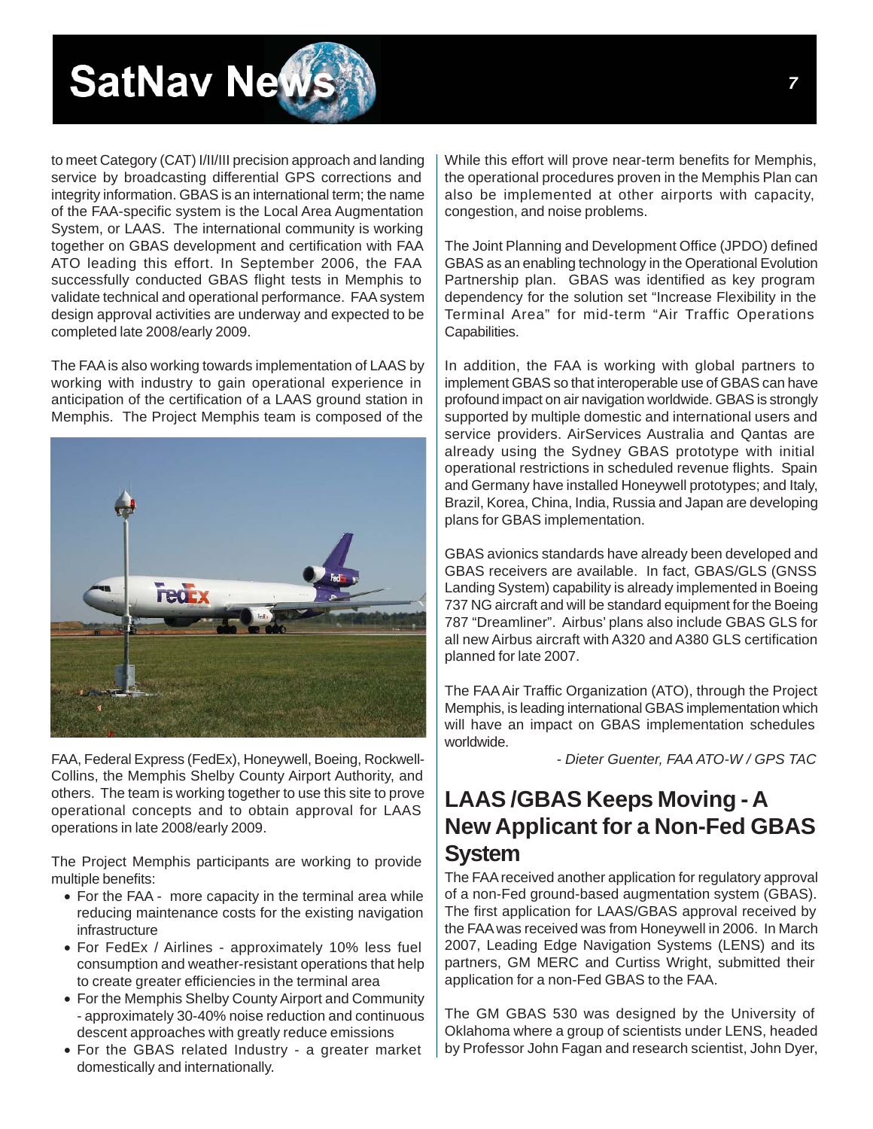<span id="page-6-0"></span>

to meet Category (CAT) I/II/III precision approach and landing service by broadcasting differential GPS corrections and integrity information. GBAS is an international term; the name of the FAA-specific system is the Local Area Augmentation System, or LAAS. The international community is working together on GBAS development and certification with FAA ATO leading this effort. In September 2006, the FAA successfully conducted GBAS flight tests in Memphis to validate technical and operational performance. FAA system design approval activities are underway and expected to be completed late 2008/early 2009.

The FAA is also working towards implementation of LAAS by working with industry to gain operational experience in anticipation of the certification of a LAAS ground station in Memphis. The Project Memphis team is composed of the



FAA, Federal Express (FedEx), Honeywell, Boeing, Rockwell-Collins, the Memphis Shelby County Airport Authority, and others. The team is working together to use this site to prove operational concepts and to obtain approval for LAAS operations in late 2008/early 2009.

The Project Memphis participants are working to provide multiple benefits:

- For the FAA more capacity in the terminal area while reducing maintenance costs for the existing navigation infrastructure
- For FedEx / Airlines approximately 10% less fuel consumption and weather-resistant operations that help to create greater efficiencies in the terminal area
- For the Memphis Shelby County Airport and Community - approximately 30-40% noise reduction and continuous descent approaches with greatly reduce emissions
- For the GBAS related Industry a greater market domestically and internationally.

While this effort will prove near-term benefits for Memphis, the operational procedures proven in the Memphis Plan can also be implemented at other airports with capacity, congestion, and noise problems.

The Joint Planning and Development Office (JPDO) defined GBAS as an enabling technology in the Operational Evolution Partnership plan. GBAS was identified as key program dependency for the solution set "Increase Flexibility in the Terminal Area" for mid-term "Air Traffic Operations Capabilities.

In addition, the FAA is working with global partners to implement GBAS so that interoperable use of GBAS can have profound impact on air navigation worldwide. GBAS is strongly supported by multiple domestic and international users and service providers. AirServices Australia and Qantas are already using the Sydney GBAS prototype with initial operational restrictions in scheduled revenue flights. Spain and Germany have installed Honeywell prototypes; and Italy, Brazil, Korea, China, India, Russia and Japan are developing plans for GBAS implementation.

GBAS avionics standards have already been developed and GBAS receivers are available. In fact, GBAS/GLS (GNSS Landing System) capability is already implemented in Boeing 737 NG aircraft and will be standard equipment for the Boeing 787 "Dreamliner". Airbus' plans also include GBAS GLS for all new Airbus aircraft with A320 and A380 GLS certification planned for late 2007.

The FAA Air Traffic Organization (ATO), through the Project Memphis, is leading international GBAS implementation which will have an impact on GBAS implementation schedules worldwide.

*- Dieter Guenter, FAA ATO-W / GPS TAC*

#### **LAAS /GBAS Keeps Moving - A New Applicant for a Non-Fed GBAS System**

The FAA received another application for regulatory approval of a non-Fed ground-based augmentation system (GBAS). The first application for LAAS/GBAS approval received by the FAA was received was from Honeywell in 2006. In March 2007, Leading Edge Navigation Systems (LENS) and its partners, GM MERC and Curtiss Wright, submitted their application for a non-Fed GBAS to the FAA.

The GM GBAS 530 was designed by the University of Oklahoma where a group of scientists under LENS, headed by Professor John Fagan and research scientist, John Dyer,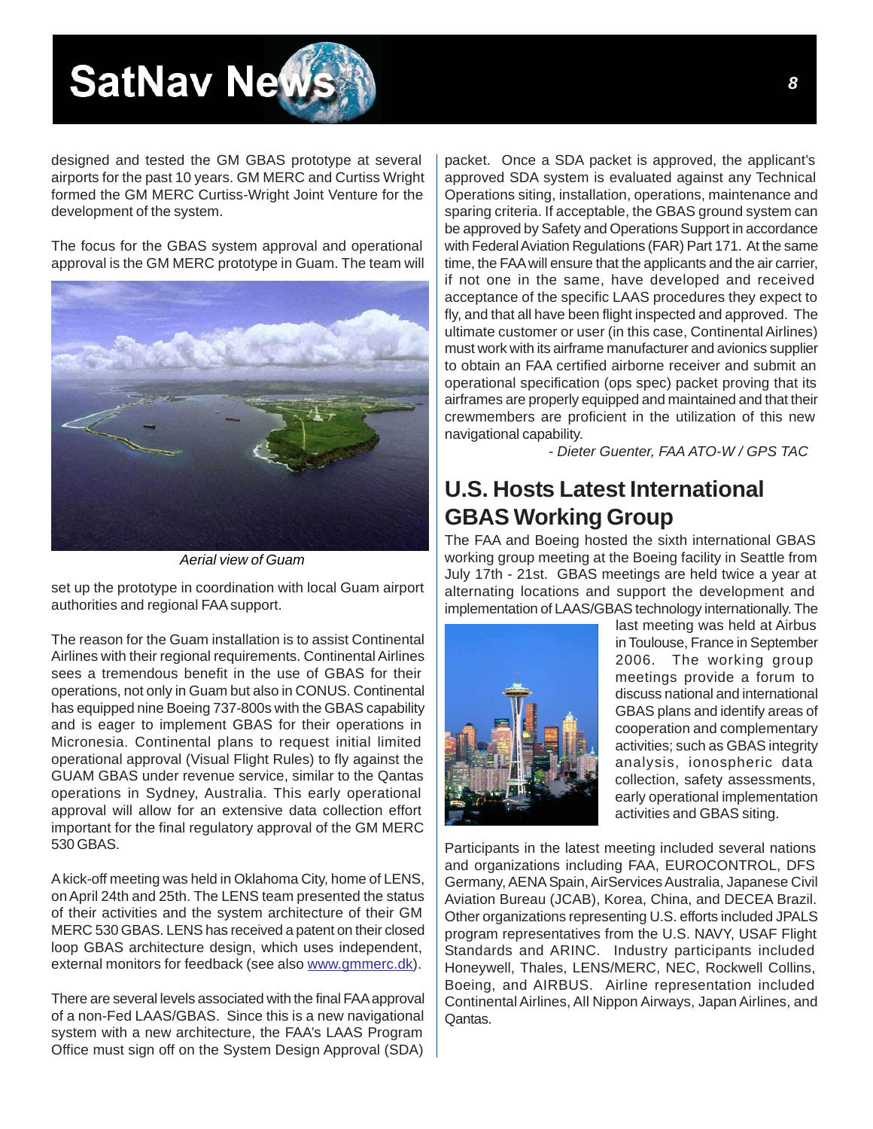# <span id="page-7-0"></span>**SatNav Nev**

designed and tested the GM GBAS prototype at several airports for the past 10 years. GM MERC and Curtiss Wright formed the GM MERC Curtiss-Wright Joint Venture for the development of the system.

The focus for the GBAS system approval and operational approval is the GM MERC prototype in Guam. The team will



*Aerial view of Guam*

set up the prototype in coordination with local Guam airport authorities and regional FAA support.

The reason for the Guam installation is to assist Continental Airlines with their regional requirements. Continental Airlines sees a tremendous benefit in the use of GBAS for their operations, not only in Guam but also in CONUS. Continental has equipped nine Boeing 737-800s with the GBAS capability and is eager to implement GBAS for their operations in Micronesia. Continental plans to request initial limited operational approval (Visual Flight Rules) to fly against the GUAM GBAS under revenue service, similar to the Qantas operations in Sydney, Australia. This early operational approval will allow for an extensive data collection effort important for the final regulatory approval of the GM MERC 530 GBAS.

A kick-off meeting was held in Oklahoma City, home of LENS, on April 24th and 25th. The LENS team presented the status of their activities and the system architecture of their GM MERC 530 GBAS. LENS has received a patent on their closed loop GBAS architecture design, which uses independent, external monitors for feedback (see als[o www.gmmerc.dk\).](www.gmmerc.dk)

There are several levels associated with the final FAA approval of a non-Fed LAAS/GBAS. Since this is a new navigational system with a new architecture, the FAA's LAAS Program Office must sign off on the System Design Approval (SDA)

packet. Once a SDA packet is approved, the applicant's approved SDA system is evaluated against any Technical Operations siting, installation, operations, maintenance and sparing criteria. If acceptable, the GBAS ground system can be approved by Safety and Operations Support in accordance with Federal Aviation Regulations (FAR) Part 171. At the same time, the FAA will ensure that the applicants and the air carrier, if not one in the same, have developed and received acceptance of the specific LAAS procedures they expect to fly, and that all have been flight inspected and approved. The ultimate customer or user (in this case, Continental Airlines) must work with its airframe manufacturer and avionics supplier to obtain an FAA certified airborne receiver and submit an operational specification (ops spec) packet proving that its airframes are properly equipped and maintained and that their crewmembers are proficient in the utilization of this new navigational capability.

*- Dieter Guenter, FAA ATO-W / GPS TAC*

#### **U.S. Hosts Latest International GBAS Working Group**

The FAA and Boeing hosted the sixth international GBAS working group meeting at the Boeing facility in Seattle from July 17th - 21st. GBAS meetings are held twice a year at alternating locations and support the development and implementation of LAAS/GBAS technology internationally. The



last meeting was held at Airbus in Toulouse, France in September 2006. The working group meetings provide a forum to discuss national and international GBAS plans and identify areas of cooperation and complementary activities; such as GBAS integrity analysis, ionospheric data collection, safety assessments, early operational implementation activities and GBAS siting.

Participants in the latest meeting included several nations and organizations including FAA, EUROCONTROL, DFS Germany, AENA Spain, AirServices Australia, Japanese Civil Aviation Bureau (JCAB), Korea, China, and DECEA Brazil. Other organizations representing U.S. efforts included JPALS program representatives from the U.S. NAVY, USAF Flight Standards and ARINC. Industry participants included Honeywell, Thales, LENS/MERC, NEC, Rockwell Collins, Boeing, and AIRBUS. Airline representation included Continental Airlines, All Nippon Airways, Japan Airlines, and Qantas.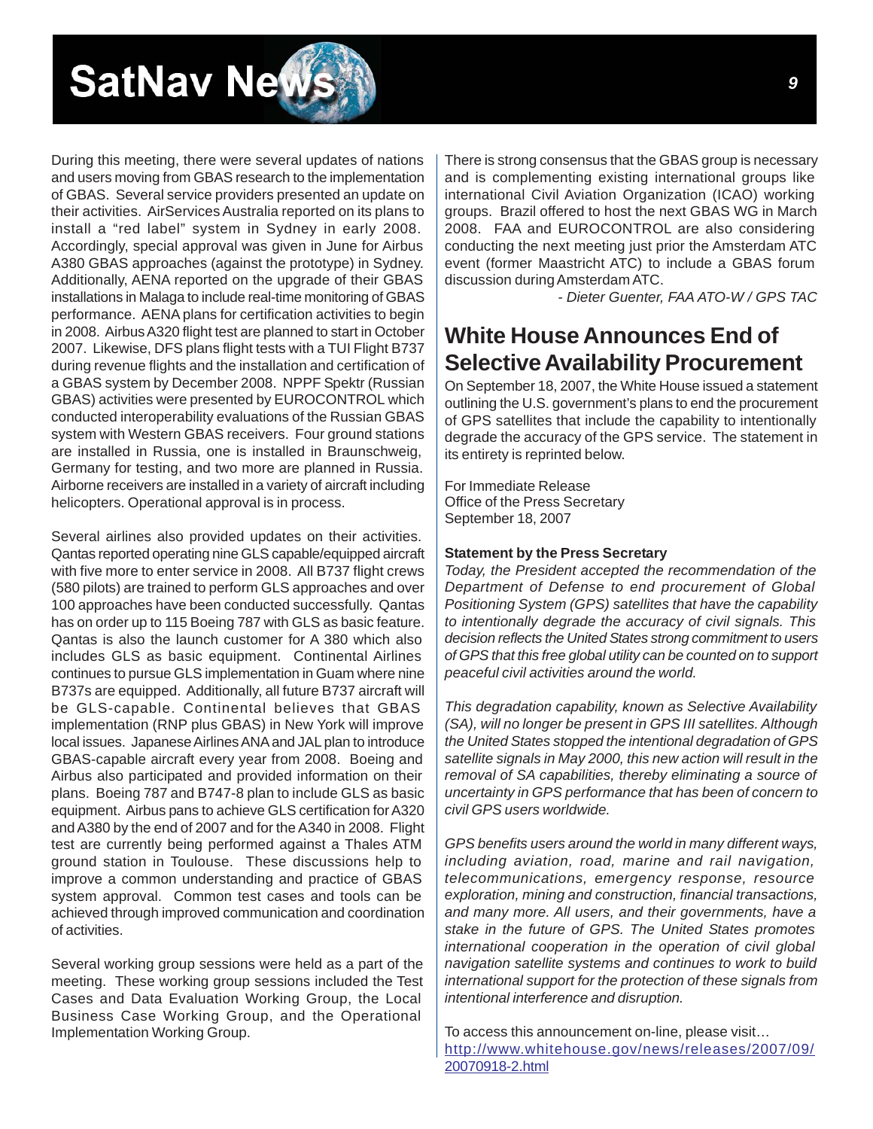<span id="page-8-0"></span>

During this meeting, there were several updates of nations and users moving from GBAS research to the implementation of GBAS. Several service providers presented an update on their activities. AirServices Australia reported on its plans to install a "red label" system in Sydney in early 2008. Accordingly, special approval was given in June for Airbus A380 GBAS approaches (against the prototype) in Sydney. Additionally, AENA reported on the upgrade of their GBAS installations in Malaga to include real-time monitoring of GBAS performance. AENA plans for certification activities to begin in 2008. Airbus A320 flight test are planned to start in October 2007. Likewise, DFS plans flight tests with a TUI Flight B737 during revenue flights and the installation and certification of a GBAS system by December 2008. NPPF Spektr (Russian GBAS) activities were presented by EUROCONTROL which conducted interoperability evaluations of the Russian GBAS system with Western GBAS receivers. Four ground stations are installed in Russia, one is installed in Braunschweig, Germany for testing, and two more are planned in Russia. Airborne receivers are installed in a variety of aircraft including helicopters. Operational approval is in process.

Several airlines also provided updates on their activities. Qantas reported operating nine GLS capable/equipped aircraft with five more to enter service in 2008. All B737 flight crews (580 pilots) are trained to perform GLS approaches and over 100 approaches have been conducted successfully. Qantas has on order up to 115 Boeing 787 with GLS as basic feature. Qantas is also the launch customer for A 380 which also includes GLS as basic equipment. Continental Airlines continues to pursue GLS implementation in Guam where nine B737s are equipped. Additionally, all future B737 aircraft will be GLS-capable. Continental believes that GBAS implementation (RNP plus GBAS) in New York will improve local issues. Japanese Airlines ANA and JAL plan to introduce GBAS-capable aircraft every year from 2008. Boeing and Airbus also participated and provided information on their plans. Boeing 787 and B747-8 plan to include GLS as basic equipment. Airbus pans to achieve GLS certification for A320 and A380 by the end of 2007 and for the A340 in 2008. Flight test are currently being performed against a Thales ATM ground station in Toulouse. These discussions help to improve a common understanding and practice of GBAS system approval. Common test cases and tools can be achieved through improved communication and coordination of activities.

Several working group sessions were held as a part of the meeting. These working group sessions included the Test Cases and Data Evaluation Working Group, the Local Business Case Working Group, and the Operational Implementation Working Group.

There is strong consensus that the GBAS group is necessary and is complementing existing international groups like international Civil Aviation Organization (ICAO) working groups. Brazil offered to host the next GBAS WG in March 2008. FAA and EUROCONTROL are also considering conducting the next meeting just prior the Amsterdam ATC event (former Maastricht ATC) to include a GBAS forum discussion during Amsterdam ATC.

*- Dieter Guenter, FAA ATO-W / GPS TAC*

#### **White House Announces End of Selective Availability Procurement**

On September 18, 2007, the White House issued a statement outlining the U.S. government's plans to end the procurement of GPS satellites that include the capability to intentionally degrade the accuracy of the GPS service. The statement in its entirety is reprinted below.

For Immediate Release Office of the Press Secretary September 18, 2007

#### **Statement by the Press Secretary**

*Today, the President accepted the recommendation of the Department of Defense to end procurement of Global Positioning System (GPS) satellites that have the capability to intentionally degrade the accuracy of civil signals. This decision reflects the United States strong commitment to users of GPS that this free global utility can be counted on to support peaceful civil activities around the world.*

*This degradation capability, known as Selective Availability (SA), will no longer be present in GPS III satellites. Although the United States stopped the intentional degradation of GPS satellite signals in May 2000, this new action will result in the removal of SA capabilities, thereby eliminating a source of uncertainty in GPS performance that has been of concern to civil GPS users worldwide.*

*GPS benefits users around the world in many different ways, including aviation, road, marine and rail navigation, telecommunications, emergency response, resource exploration, mining and construction, financial transactions, and many more. All users, and their governments, have a stake in the future of GPS. The United States promotes international cooperation in the operation of civil global navigation satellite systems and continues to work to build international support for the protection of these signals from intentional interference and disruption.*

To access this announcement on-line, please visit… [http://www.whitehouse.gov/news/releases/2007/09/](http://www.whitehouse.gov/news/releases/2007/09/20070918-2.html)  20070918-2.html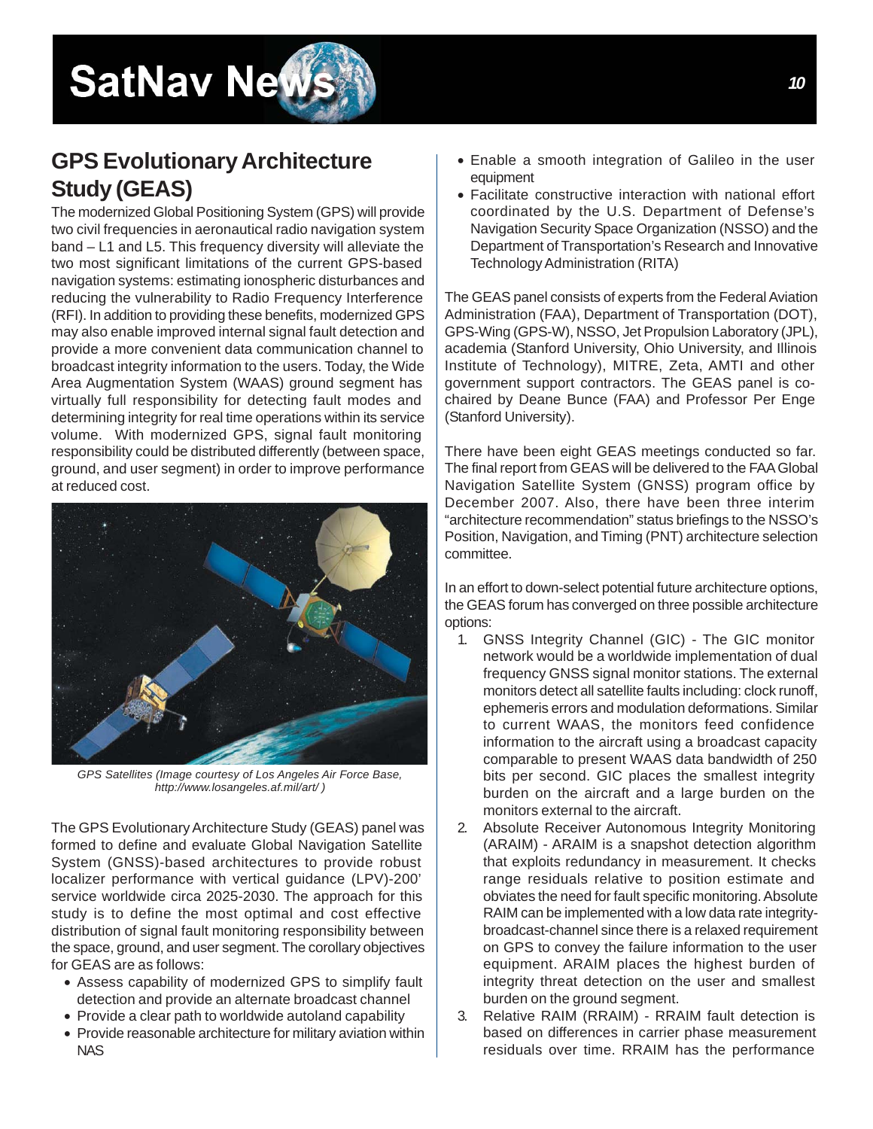### <span id="page-9-0"></span>**GPS Evolutionary Architecture Study (GEAS)**

The modernized Global Positioning System (GPS) will provide two civil frequencies in aeronautical radio navigation system band – L1 and L5. This frequency diversity will alleviate the two most significant limitations of the current GPS-based navigation systems: estimating ionospheric disturbances and reducing the vulnerability to Radio Frequency Interference (RFI). In addition to providing these benefits, modernized GPS may also enable improved internal signal fault detection and provide a more convenient data communication channel to broadcast integrity information to the users. Today, the Wide Area Augmentation System (WAAS) ground segment has virtually full responsibility for detecting fault modes and determining integrity for real time operations within its service volume. With modernized GPS, signal fault monitoring responsibility could be distributed differently (between space, ground, and user segment) in order to improve performance at reduced cost.



*GPS Satellites (Image courtesy of Los Angeles Air Force Base, [http://www.losangeles.af.mil/art/ \)](http://www.losangeles.af.mil/art/)*

The GPS Evolutionary Architecture Study (GEAS) panel was formed to define and evaluate Global Navigation Satellite System (GNSS)-based architectures to provide robust localizer performance with vertical guidance (LPV)-200' service worldwide circa 2025-2030. The approach for this study is to define the most optimal and cost effective distribution of signal fault monitoring responsibility between the space, ground, and user segment. The corollary objectives for GEAS are as follows:

- Assess capability of modernized GPS to simplify fault detection and provide an alternate broadcast channel
- Provide a clear path to worldwide autoland capability
- Provide reasonable architecture for military aviation within NAS
- Enable a smooth integration of Galileo in the user equipment
- Facilitate constructive interaction with national effort coordinated by the U.S. Department of Defense's Navigation Security Space Organization (NSSO) and the Department of Transportation's Research and Innovative Technology Administration (RITA)

The GEAS panel consists of experts from the Federal Aviation Administration (FAA), Department of Transportation (DOT), GPS-Wing (GPS-W), NSSO, Jet Propulsion Laboratory (JPL), academia (Stanford University, Ohio University, and Illinois Institute of Technology), MITRE, Zeta, AMTI and other government support contractors. The GEAS panel is cochaired by Deane Bunce (FAA) and Professor Per Enge (Stanford University).

There have been eight GEAS meetings conducted so far. The final report from GEAS will be delivered to the FAA Global Navigation Satellite System (GNSS) program office by December 2007. Also, there have been three interim "architecture recommendation" status briefings to the NSSO's Position, Navigation, and Timing (PNT) architecture selection committee.

In an effort to down-select potential future architecture options, the GEAS forum has converged on three possible architecture options:

- 1. GNSS Integrity Channel (GIC) The GIC monitor network would be a worldwide implementation of dual frequency GNSS signal monitor stations. The external monitors detect all satellite faults including: clock runoff, ephemeris errors and modulation deformations. Similar to current WAAS, the monitors feed confidence information to the aircraft using a broadcast capacity comparable to present WAAS data bandwidth of 250 bits per second. GIC places the smallest integrity burden on the aircraft and a large burden on the monitors external to the aircraft.
- 2. Absolute Receiver Autonomous Integrity Monitoring (ARAIM) - ARAIM is a snapshot detection algorithm that exploits redundancy in measurement. It checks range residuals relative to position estimate and obviates the need for fault specific monitoring. Absolute RAIM can be implemented with a low data rate integritybroadcast-channel since there is a relaxed requirement on GPS to convey the failure information to the user equipment. ARAIM places the highest burden of integrity threat detection on the user and smallest burden on the ground segment.
- 3. Relative RAIM (RRAIM) RRAIM fault detection is based on differences in carrier phase measurement residuals over time. RRAIM has the performance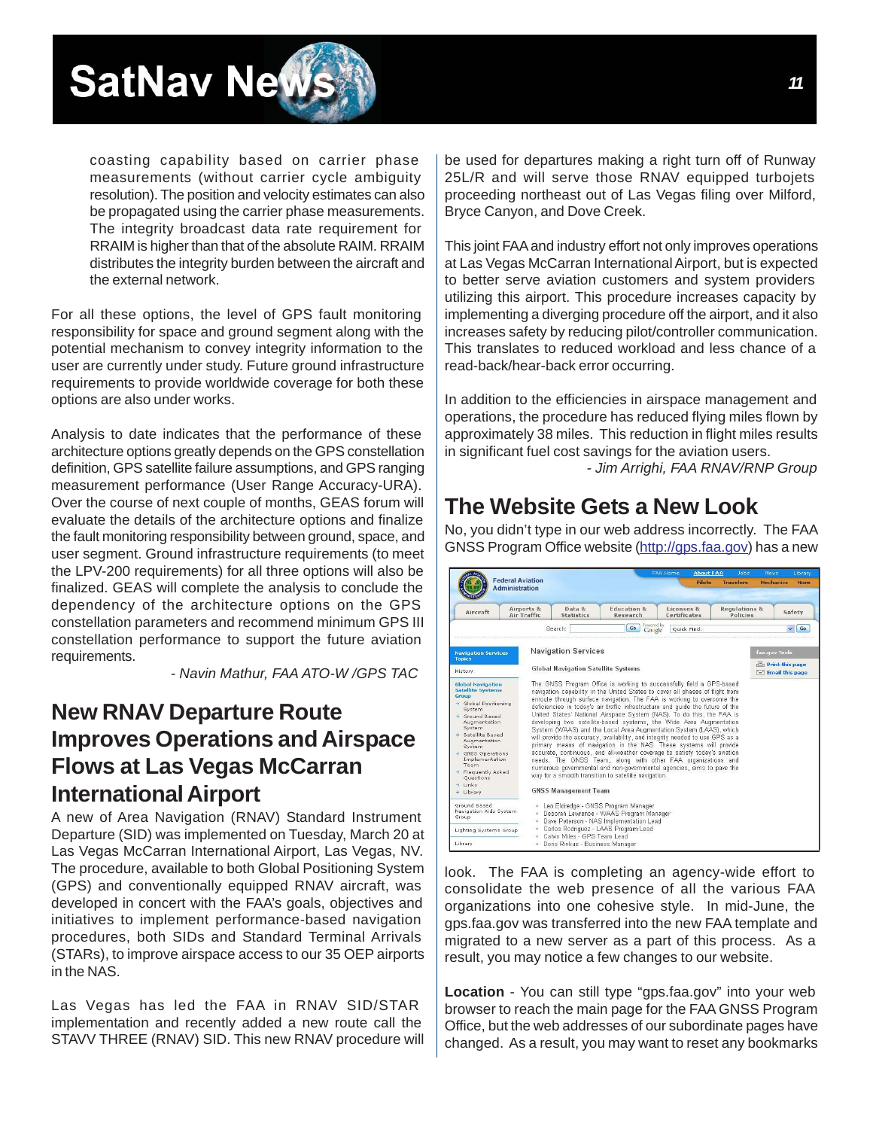<span id="page-10-0"></span>

coasting capability based on carrier phase measurements (without carrier cycle ambiguity resolution). The position and velocity estimates can also be propagated using the carrier phase measurements. The integrity broadcast data rate requirement for RRAIM is higher than that of the absolute RAIM. RRAIM distributes the integrity burden between the aircraft and the external network.

For all these options, the level of GPS fault monitoring responsibility for space and ground segment along with the potential mechanism to convey integrity information to the user are currently under study. Future ground infrastructure requirements to provide worldwide coverage for both these options are also under works.

Analysis to date indicates that the performance of these architecture options greatly depends on the GPS constellation definition, GPS satellite failure assumptions, and GPS ranging measurement performance (User Range Accuracy-URA). Over the course of next couple of months, GEAS forum will evaluate the details of the architecture options and finalize the fault monitoring responsibility between ground, space, and user segment. Ground infrastructure requirements (to meet the LPV-200 requirements) for all three options will also be finalized. GEAS will complete the analysis to conclude the dependency of the architecture options on the GPS constellation parameters and recommend minimum GPS III constellation performance to support the future aviation requirements.

 *- Navin Mathur, FAA ATO-W /GPS TAC*

#### **New RNAV Departure Route Improves Operations and Airspace Flows at Las Vegas McCarran International Airport**

A new of Area Navigation (RNAV) Standard Instrument Departure (SID) was implemented on Tuesday, March 20 at Las Vegas McCarran International Airport, Las Vegas, NV. The procedure, available to both Global Positioning System (GPS) and conventionally equipped RNAV aircraft, was developed in concert with the FAA's goals, objectives and initiatives to implement performance-based navigation procedures, both SIDs and Standard Terminal Arrivals (STARs), to improve airspace access to our 35 OEP airports in the NAS.

Las Vegas has led the FAA in RNAV SID/STAR implementation and recently added a new route call the STAVV THREE (RNAV) SID. This new RNAV procedure will be used for departures making a right turn off of Runway 25L/R and will serve those RNAV equipped turbojets proceeding northeast out of Las Vegas filing over Milford, Bryce Canyon, and Dove Creek.

This joint FAA and industry effort not only improves operations at Las Vegas McCarran International Airport, but is expected to better serve aviation customers and system providers utilizing this airport. This procedure increases capacity by implementing a diverging procedure off the airport, and it also increases safety by reducing pilot/controller communication. This translates to reduced workload and less chance of a read-back/hear-back error occurring.

In addition to the efficiencies in airspace management and operations, the procedure has reduced flying miles flown by approximately 38 miles. This reduction in flight miles results in significant fuel cost savings for the aviation users.

*- Jim Arrighi, FAA RNAV/RNP Group*

#### **The Website Gets a New Look**

No, you didn't type in our web address incorrectly. The FAA GNSS Program Office websit[e \(http://gps.faa.gov\) h](http://gps.faa.gov)as a new

|                                                                                                                                                                                                                                                                                          |                                                  |                                                                                                                                                                                                                                                                                                                                                                                                                                                                                                                                                                                                                                                                                                                                                                                                                   |    |                       | <b>FAA Home</b>            | <b>About FAA</b><br>$J$ obs |                  | Library<br>News                                |                    |
|------------------------------------------------------------------------------------------------------------------------------------------------------------------------------------------------------------------------------------------------------------------------------------------|--------------------------------------------------|-------------------------------------------------------------------------------------------------------------------------------------------------------------------------------------------------------------------------------------------------------------------------------------------------------------------------------------------------------------------------------------------------------------------------------------------------------------------------------------------------------------------------------------------------------------------------------------------------------------------------------------------------------------------------------------------------------------------------------------------------------------------------------------------------------------------|----|-----------------------|----------------------------|-----------------------------|------------------|------------------------------------------------|--------------------|
|                                                                                                                                                                                                                                                                                          | <b>Federal Aviation</b><br><b>Administration</b> |                                                                                                                                                                                                                                                                                                                                                                                                                                                                                                                                                                                                                                                                                                                                                                                                                   |    |                       |                            | <b>Pilots</b>               | <b>Travelers</b> |                                                | Mechanics<br>More  |
| Aircraft                                                                                                                                                                                                                                                                                 | Airports &<br>Air Traffic                        | <b>Education &amp;</b><br>Data &<br><b>Statistics</b><br>Research                                                                                                                                                                                                                                                                                                                                                                                                                                                                                                                                                                                                                                                                                                                                                 |    |                       | Licenses &<br>Certificates |                             |                  | <b>Regulations &amp;</b><br>Safety<br>Policies |                    |
|                                                                                                                                                                                                                                                                                          |                                                  | Search:                                                                                                                                                                                                                                                                                                                                                                                                                                                                                                                                                                                                                                                                                                                                                                                                           | Go | Powered by:<br>Google | Quick Find:                |                             |                  |                                                | $\checkmark$<br>Go |
| <b>Navigation Services</b>                                                                                                                                                                                                                                                               |                                                  | <b>Navigation Services</b>                                                                                                                                                                                                                                                                                                                                                                                                                                                                                                                                                                                                                                                                                                                                                                                        |    |                       |                            |                             |                  |                                                | faa.gov Tools      |
| <b>Topics</b><br>History                                                                                                                                                                                                                                                                 |                                                  | <b>Global Navigation Satellite Systems</b>                                                                                                                                                                                                                                                                                                                                                                                                                                                                                                                                                                                                                                                                                                                                                                        |    |                       |                            |                             |                  | Print this page<br>Email this page             |                    |
| A Global Positioning<br>System<br>A Ground Based<br>Augmentation<br>System<br>→ Satellite Based<br>Augmentation.<br>System<br>$\rightarrow$ GNSS Operations<br>Implementation<br>Team<br>> Frequently Asked<br>Ouestions<br>$\rightarrow$ Links<br>$\rightarrow$ Library<br>Ground Based |                                                  | deficiencies in today's air traffic infrastructure and quide the future of the<br>United States' National Airspace System (NAS). To do this, the FAA is<br>developing two satellite-based systems, the Wide Area Augmentation<br>System (WAAS) and the Local Area Augmentation System (LAAS), which<br>will provide the accuracy, availability, and integrity needed to use GPS as a<br>primary means of navigation in the NAS. These systems will provide<br>accurate, continuous, and all-weather coverage to satisfy today's aviation<br>needs. The GNSS Team, along with other FAA organizations and<br>numerous governmental and non-governmental agencies, aims to pave the<br>way for a smooth transition to satellite navigation.<br><b>GNSS Management Team</b><br>. Leo Eldredge - GNSS Program Manager |    |                       |                            |                             |                  |                                                |                    |
| Navigation Aids System<br>Group<br>Lighting Systems Group                                                                                                                                                                                                                                | $\alpha$<br>٠                                    | Deborah Lawrence - WAAS Program Manager<br>Dave Peterson - NAS Implementation Lead<br>Carlos Rodriguez - LAAS Program Lead                                                                                                                                                                                                                                                                                                                                                                                                                                                                                                                                                                                                                                                                                        |    |                       |                            |                             |                  |                                                |                    |
| Library                                                                                                                                                                                                                                                                                  |                                                  | Calvin Miles - GPS Team Lead<br>· Doris Rinkus - Business Manager                                                                                                                                                                                                                                                                                                                                                                                                                                                                                                                                                                                                                                                                                                                                                 |    |                       |                            |                             |                  |                                                |                    |

look. The FAA is completing an agency-wide effort to consolidate the web presence of all the various FAA organizations into one cohesive style. In mid-June, the gps.faa.gov was transferred into the new FAA template and migrated to a new server as a part of this process. As a result, you may notice a few changes to our website.

**Location** - You can still type "gps.faa.gov" into your web browser to reach the main page for the FAA GNSS Program Office, but the web addresses of our subordinate pages have changed. As a result, you may want to reset any bookmarks